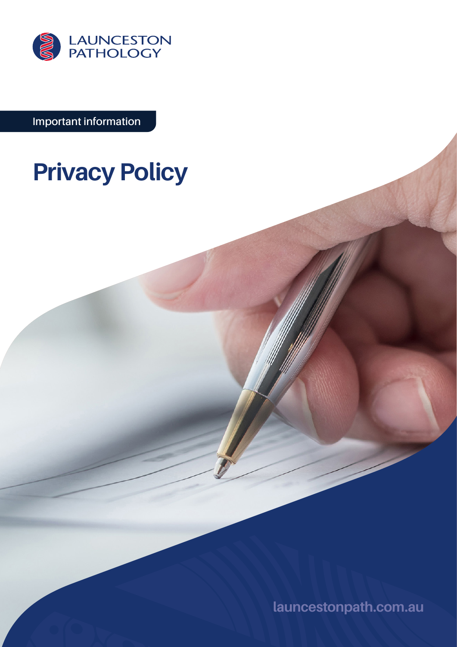

**Important information**

# **Privacy Policy**

**[launcestonpath.com.au](http://launcestonpath.com.au)**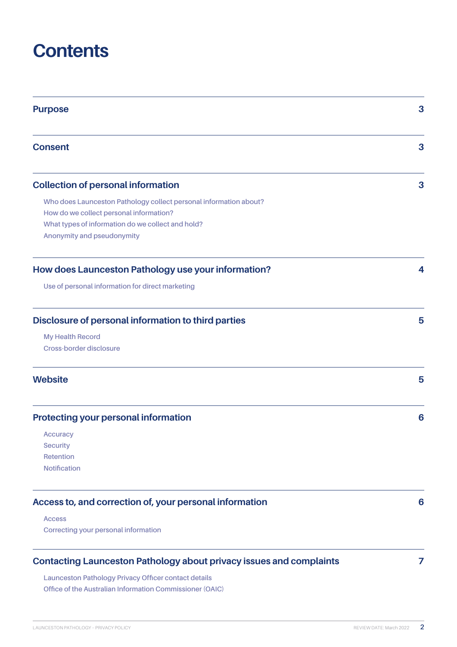# **Contents**

| <b>Purpose</b>                                                                                            | 3 |
|-----------------------------------------------------------------------------------------------------------|---|
| <b>Consent</b>                                                                                            | 3 |
| <b>Collection of personal information</b>                                                                 | 3 |
| Who does Launceston Pathology collect personal information about?                                         |   |
| How do we collect personal information?                                                                   |   |
| What types of information do we collect and hold?                                                         |   |
| Anonymity and pseudonymity                                                                                |   |
| How does Launceston Pathology use your information?                                                       | 4 |
| Use of personal information for direct marketing                                                          |   |
| Disclosure of personal information to third parties<br><b>My Health Record</b><br>Cross-border disclosure | 5 |
| <b>Website</b>                                                                                            | 5 |
| <b>Protecting your personal information</b>                                                               | 6 |
| Accuracy                                                                                                  |   |
| <b>Security</b>                                                                                           |   |
| Retention                                                                                                 |   |
| <b>Notification</b>                                                                                       |   |
| Access to, and correction of, your personal information                                                   | 6 |
| <b>Access</b>                                                                                             |   |
| Correcting your personal information                                                                      |   |
| <b>Contacting Launceston Pathology about privacy issues and complaints</b>                                | 7 |

**[Launceston Pathology Privacy Officer contact details](#page-6-0) [Office of the Australian Information Commissioner \(OAIC\)](#page-6-0)**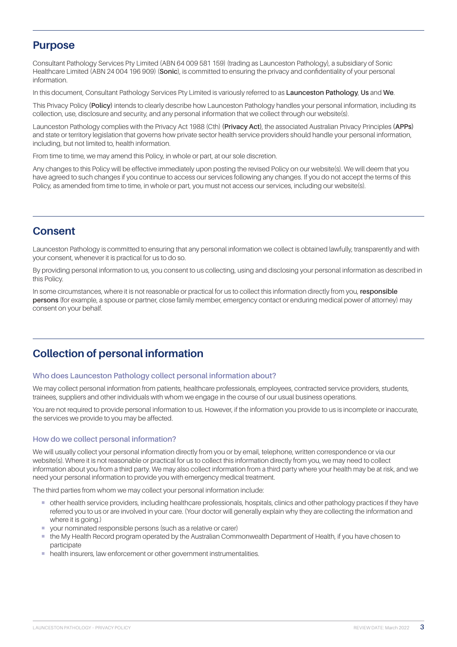# <span id="page-2-0"></span>**Purpose**

Consultant Pathology Services Pty Limited (ABN 64 009 581 159) (trading as Launceston Pathology), a subsidiary of Sonic Healthcare Limited (ABN 24 004 196 909) (**Sonic**), is committed to ensuring the privacy and confidentiality of your personal information.

In this document, Consultant Pathology Services Pty Limited is variously referred to as **Launceston Pathology**, **Us** and **We**.

This Privacy Policy **(Policy)** intends to clearly describe how Launceston Pathology handles your personal information, including its collection, use, disclosure and security, and any personal information that we collect through our website(s).

Launceston Pathology complies with the Privacy Act 1988 (Cth) **(Privacy Act)**, the associated Australian Privacy Principles **(APPs)** and state or territory legislation that governs how private sector health service providers should handle your personal information, including, but not limited to, health information.

From time to time, we may amend this Policy, in whole or part, at our sole discretion.

Any changes to this Policy will be effective immediately upon posting the revised Policy on our website(s). We will deem that you have agreed to such changes if you continue to access our services following any changes. If you do not accept the terms of this Policy, as amended from time to time, in whole or part, you must not access our services, including our website(s).

# **Consent**

Launceston Pathology is committed to ensuring that any personal information we collect is obtained lawfully, transparently and with your consent, whenever it is practical for us to do so.

By providing personal information to us, you consent to us collecting, using and disclosing your personal information as described in this Policy.

In some circumstances, where it is not reasonable or practical for us to collect this information directly from you, **responsible persons** (for example, a spouse or partner, close family member, emergency contact or enduring medical power of attorney) may consent on your behalf.

# **Collection of personal information**

#### **Who does Launceston Pathology collect personal information about?**

We may collect personal information from patients, healthcare professionals, employees, contracted service providers, students, trainees, suppliers and other individuals with whom we engage in the course of our usual business operations.

You are not required to provide personal information to us. However, if the information you provide to us is incomplete or inaccurate, the services we provide to you may be affected.

### **How do we collect personal information?**

We will usually collect your personal information directly from you or by email, telephone, written correspondence or via our website(s). Where it is not reasonable or practical for us to collect this information directly from you, we may need to collect information about you from a third party. We may also collect information from a third party where your health may be at risk, and we need your personal information to provide you with emergency medical treatment.

The third parties from whom we may collect your personal information include:

- ¡ other health service providers, including healthcare professionals, hospitals, clinics and other pathology practices if they have referred you to us or are involved in your care. (Your doctor will generally explain why they are collecting the information and where it is going.)
- ¡ your nominated responsible persons (such as a relative or carer)
- ¡ the My Health Record program operated by the Australian Commonwealth Department of Health, if you have chosen to participate
- health insurers, law enforcement or other government instrumentalities.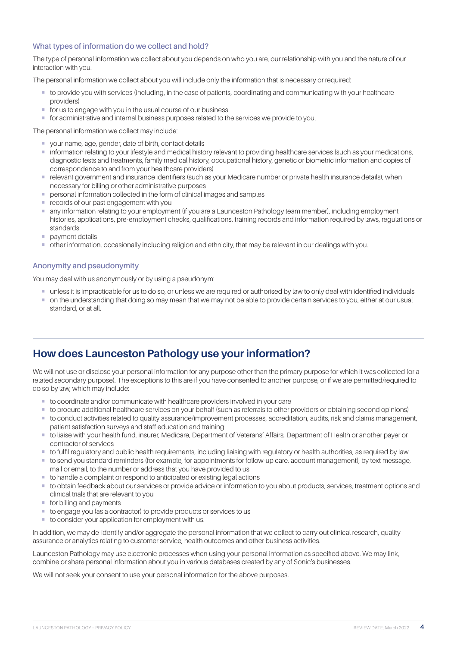# <span id="page-3-0"></span>**What types of information do we collect and hold?**

The type of personal information we collect about you depends on who you are, our relationship with you and the nature of our interaction with you.

The personal information we collect about you will include only the information that is necessary or required:

- ¡ to provide you with services (including, in the case of patients, coordinating and communicating with your healthcare providers)
- for us to engage with you in the usual course of our business
- ¡ for administrative and internal business purposes related to the services we provide to you.

The personal information we collect may include:

- ¡ your name, age, gender, date of birth, contact details
- ¡ information relating to your lifestyle and medical history relevant to providing healthcare services (such as your medications, diagnostic tests and treatments, family medical history, occupational history, genetic or biometric information and copies of correspondence to and from your healthcare providers)
- ¡ relevant government and insurance identifiers (such as your Medicare number or private health insurance details), when necessary for billing or other administrative purposes
- personal information collected in the form of clinical images and samples
- **records of our past engagement with you**
- ¡ any information relating to your employment (if you are a Launceston Pathology team member), including employment histories, applications, pre-employment checks, qualifications, training records and information required by laws, regulations or standards
- **•** payment details
- ¡ other information, occasionally including religion and ethnicity, that may be relevant in our dealings with you.

# **Anonymity and pseudonymity**

You may deal with us anonymously or by using a pseudonym:

- ¡ unless it is impracticable for us to do so, or unless we are required or authorised by law to only deal with identified individuals
- on the understanding that doing so may mean that we may not be able to provide certain services to you, either at our usual standard, or at all.

# **How does Launceston Pathology use your information?**

We will not use or disclose your personal information for any purpose other than the primary purpose for which it was collected (or a related secondary purpose). The exceptions to this are if you have consented to another purpose, or if we are permitted/required to do so by law, which may include:

- to coordinate and/or communicate with healthcare providers involved in your care
- ¡ to procure additional healthcare services on your behalf (such as referrals to other providers or obtaining second opinions)
- ¡ to conduct activities related to quality assurance/improvement processes, accreditation, audits, risk and claims management, patient satisfaction surveys and staff education and training
- ¡ to liaise with your health fund, insurer, Medicare, Department of Veterans' Affairs, Department of Health or another payer or contractor of services
- ¡ to fulfil regulatory and public health requirements, including liaising with regulatory or health authorities, as required by law
- ¡ to send you standard reminders (for example, for appointments for follow-up care, account management), by text message, mail or email, to the number or address that you have provided to us
- to handle a complaint or respond to anticipated or existing legal actions
- ¡ to obtain feedback about our services or provide advice or information to you about products, services, treatment options and clinical trials that are relevant to you
- for billing and payments
- to engage you (as a contractor) to provide products or services to us
- to consider your application for employment with us.

In addition, we may de-identify and/or aggregate the personal information that we collect to carry out clinical research, quality assurance or analytics relating to customer service, health outcomes and other business activities.

Launceston Pathology may use electronic processes when using your personal information as specified above. We may link, combine or share personal information about you in various databases created by any of Sonic's businesses.

We will not seek your consent to use your personal information for the above purposes.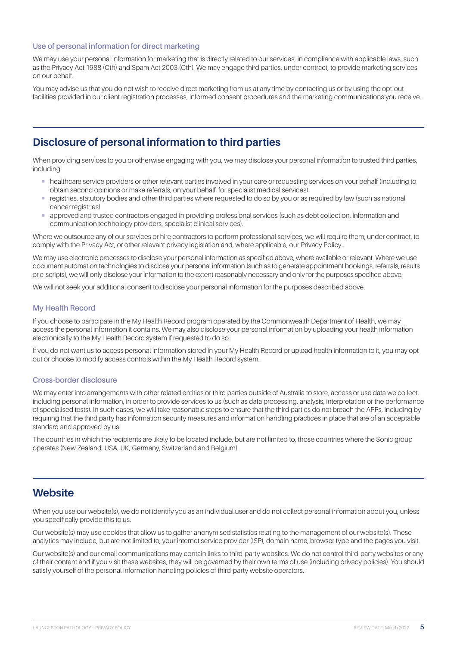# <span id="page-4-0"></span>**Use of personal information for direct marketing**

We may use your personal information for marketing that is directly related to our services, in compliance with applicable laws, such as the Privacy Act 1988 (Cth) and Spam Act 2003 (Cth). We may engage third parties, under contract, to provide marketing services on our behalf.

You may advise us that you do not wish to receive direct marketing from us at any time by contacting us or by using the opt-out facilities provided in our client registration processes, informed consent procedures and the marketing communications you receive.

# **Disclosure of personal information to third parties**

When providing services to you or otherwise engaging with you, we may disclose your personal information to trusted third parties, including:

- ¡ healthcare service providers or other relevant parties involved in your care or requesting services on your behalf (including to obtain second opinions or make referrals, on your behalf, for specialist medical services)
- registries, statutory bodies and other third parties where requested to do so by you or as required by law (such as national cancer registries)
- ¡ approved and trusted contractors engaged in providing professional services (such as debt collection, information and communication technology providers, specialist clinical services).

Where we outsource any of our services or hire contractors to perform professional services, we will require them, under contract, to comply with the Privacy Act, or other relevant privacy legislation and, where applicable, our Privacy Policy.

We may use electronic processes to disclose your personal information as specified above, where available or relevant. Where we use document automation technologies to disclose your personal information (such as to generate appointment bookings, referrals, results or e-scripts), we will only disclose your information to the extent reasonably necessary and only for the purposes specified above.

We will not seek your additional consent to disclose your personal information for the purposes described above.

### **My Health Record**

If you choose to participate in the My Health Record program operated by the Commonwealth Department of Health, we may access the personal information it contains. We may also disclose your personal information by uploading your health information electronically to the My Health Record system if requested to do so.

If you do not want us to access personal information stored in your My Health Record or upload health information to it, you may opt out or choose to modify access controls within the My Health Record system.

#### **Cross-border disclosure**

We may enter into arrangements with other related entities or third parties outside of Australia to store, access or use data we collect including personal information, in order to provide services to us (such as data processing, analysis, interpretation or the performance of specialised tests). In such cases, we will take reasonable steps to ensure that the third parties do not breach the APPs, including by requiring that the third party has information security measures and information handling practices in place that are of an acceptable standard and approved by us.

The countries in which the recipients are likely to be located include, but are not limited to, those countries where the Sonic group operates (New Zealand, USA, UK, Germany, Switzerland and Belgium).

# **Website**

When you use our website(s), we do not identify you as an individual user and do not collect personal information about you, unless you specifically provide this to us.

Our website(s) may use cookies that allow us to gather anonymised statistics relating to the management of our website(s). These analytics may include, but are not limited to, your internet service provider (ISP), domain name, browser type and the pages you visit.

Our website(s) and our email communications may contain links to third-party websites. We do not control third-party websites or any of their content and if you visit these websites, they will be governed by their own terms of use (including privacy policies). You should satisfy yourself of the personal information handling policies of third-party website operators.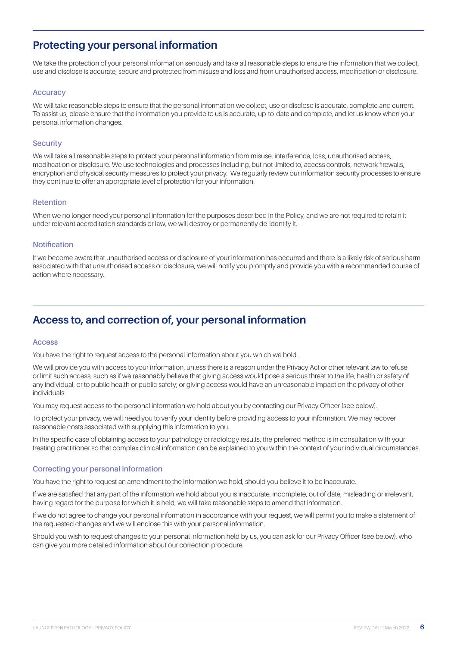# <span id="page-5-0"></span>**Protecting your personal information**

We take the protection of your personal information seriously and take all reasonable steps to ensure the information that we collect, use and disclose is accurate, secure and protected from misuse and loss and from unauthorised access, modification or disclosure.

### **Accuracy**

We will take reasonable steps to ensure that the personal information we collect, use or disclose is accurate, complete and current. To assist us, please ensure that the information you provide to us is accurate, up-to-date and complete, and let us know when your personal information changes.

#### **Security**

We will take all reasonable steps to protect your personal information from misuse, interference, loss, unauthorised access, modification or disclosure. We use technologies and processes including, but not limited to, access controls, network firewalls, encryption and physical security measures to protect your privacy. We regularly review our information security processes to ensure they continue to offer an appropriate level of protection for your information.

### **Retention**

When we no longer need your personal information for the purposes described in the Policy, and we are not required to retain it under relevant accreditation standards or law, we will destroy or permanently de-identify it.

#### **Notification**

If we become aware that unauthorised access or disclosure of your information has occurred and there is a likely risk of serious harm associated with that unauthorised access or disclosure, we will notify you promptly and provide you with a recommended course of action where necessary.

# **Access to, and correction of, your personal information**

#### **Access**

You have the right to request access to the personal information about you which we hold.

We will provide you with access to your information, unless there is a reason under the Privacy Act or other relevant law to refuse or limit such access, such as if we reasonably believe that giving access would pose a serious threat to the life, health or safety of any individual, or to public health or public safety; or giving access would have an unreasonable impact on the privacy of other individuals.

You may request access to the personal information we hold about you by contacting our Privacy Officer (see below).

To protect your privacy, we will need you to verify your identity before providing access to your information. We may recover reasonable costs associated with supplying this information to you.

In the specific case of obtaining access to your pathology or radiology results, the preferred method is in consultation with your treating practitioner so that complex clinical information can be explained to you within the context of your individual circumstances.

### **Correcting your personal information**

You have the right to request an amendment to the information we hold, should you believe it to be inaccurate.

If we are satisfied that any part of the information we hold about you is inaccurate, incomplete, out of date, misleading or irrelevant, having regard for the purpose for which it is held, we will take reasonable steps to amend that information.

If we do not agree to change your personal information in accordance with your request, we will permit you to make a statement of the requested changes and we will enclose this with your personal information.

Should you wish to request changes to your personal information held by us, you can ask for our Privacy Officer (see below), who can give you more detailed information about our correction procedure.